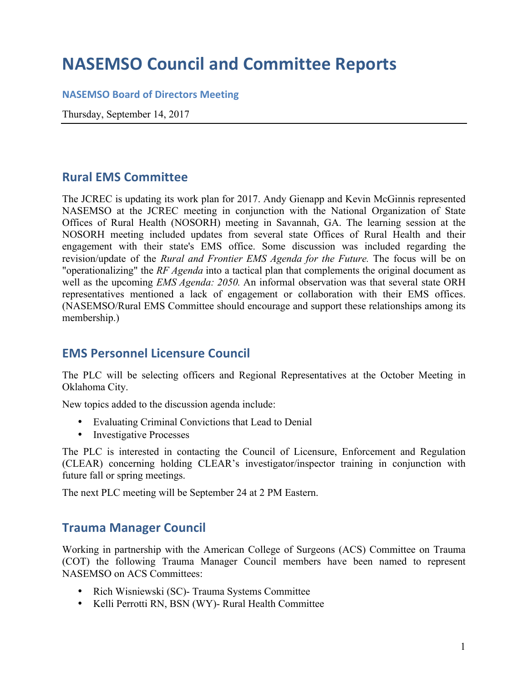## **NASEMSO Council and Committee Reports**

#### **NASEMSO Board of Directors Meeting**

Thursday, September 14, 2017

## **Rural EMS Committee**

The JCREC is updating its work plan for 2017. Andy Gienapp and Kevin McGinnis represented NASEMSO at the JCREC meeting in conjunction with the National Organization of State Offices of Rural Health (NOSORH) meeting in Savannah, GA. The learning session at the NOSORH meeting included updates from several state Offices of Rural Health and their engagement with their state's EMS office. Some discussion was included regarding the revision/update of the *Rural and Frontier EMS Agenda for the Future.* The focus will be on "operationalizing" the *RF Agenda* into a tactical plan that complements the original document as well as the upcoming *EMS Agenda: 2050.* An informal observation was that several state ORH representatives mentioned a lack of engagement or collaboration with their EMS offices. (NASEMSO/Rural EMS Committee should encourage and support these relationships among its membership.)

## **EMS Personnel Licensure Council**

The PLC will be selecting officers and Regional Representatives at the October Meeting in Oklahoma City.

New topics added to the discussion agenda include:

- Evaluating Criminal Convictions that Lead to Denial
- Investigative Processes

The PLC is interested in contacting the Council of Licensure, Enforcement and Regulation (CLEAR) concerning holding CLEAR's investigator/inspector training in conjunction with future fall or spring meetings.

The next PLC meeting will be September 24 at 2 PM Eastern.

## **Trauma Manager Council**

Working in partnership with the American College of Surgeons (ACS) Committee on Trauma (COT) the following Trauma Manager Council members have been named to represent NASEMSO on ACS Committees:

- Rich Wisniewski (SC)- Trauma Systems Committee
- Kelli Perrotti RN, BSN (WY)- Rural Health Committee